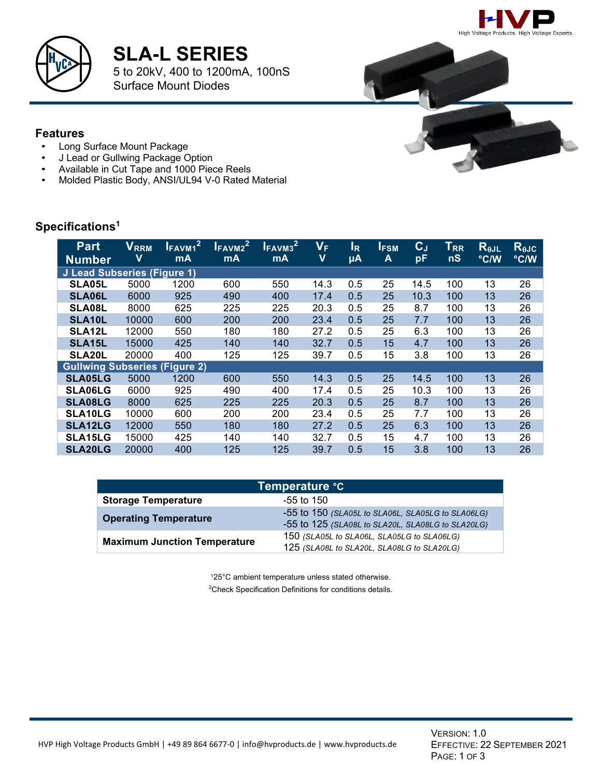



## **SLA-L SERIES**

5 to 20kV, 400 to 1200mA, 100nS Surface Mount Diodes



- Long Surface Mount Package
- J Lead or Gullwing Package Option
- Available in Cut Tape and 1000 Piece Reels
- Molded Plastic Body, ANSI/UL94 V-0 Rated Material

### **Specifications1**

| <b>Part</b><br><b>Number</b>         | $V_{\mathsf{RRM}}$<br>v | <b>VFAVM12</b><br><b>mA</b> | <b>UFAVM2</b><br><b>mA</b> | <b>LFAVM3</b> <sup>2</sup><br>mA | $\mathsf{V}_\mathsf{F}$<br>$\overline{\mathbf{V}}$ | lĸ<br>μA | <b>IFSM</b><br>A | $\mathbf{C}_{\mathsf{J}}$<br>pF | $T_{RR}$<br>nS | $R_{\theta$ JL<br>°C/W | ReJC<br>°C/W |
|--------------------------------------|-------------------------|-----------------------------|----------------------------|----------------------------------|----------------------------------------------------|----------|------------------|---------------------------------|----------------|------------------------|--------------|
| J Lead Subseries (Figure 1)          |                         |                             |                            |                                  |                                                    |          |                  |                                 |                |                        |              |
| <b>SLA05L</b>                        | 5000                    | 1200                        | 600                        | 550                              | 14.3                                               | 0.5      | 25               | 14.5                            | 100            | 13                     | 26           |
| <b>SLA06L</b>                        | 6000                    | 925                         | 490                        | 400                              | 17.4                                               | 0.5      | 25               | 10.3                            | 100            | 13                     | 26           |
| <b>SLA08L</b>                        | 8000                    | 625                         | 225                        | 225                              | 20.3                                               | 0.5      | 25               | 8.7                             | 100            | 13                     | 26           |
| SLA10L                               | 10000                   | 600                         | 200                        | 200                              | 23.4                                               | 0.5      | 25               | 7.7                             | 100            | 13                     | 26           |
| SLA <sub>12</sub> L                  | 12000                   | 550                         | 180                        | 180                              | 27.2                                               | 0.5      | 25               | 6.3                             | 100            | 13                     | 26           |
| <b>SLA15L</b>                        | 15000                   | 425                         | 140                        | 140                              | 32.7                                               | 0.5      | 15               | 4.7                             | 100            | 13                     | 26           |
| <b>SLA20L</b>                        | 20000                   | 400                         | 125                        | 125                              | 39.7                                               | 0.5      | 15               | 3.8                             | 100            | 13                     | 26           |
| <b>Gullwing Subseries (Figure 2)</b> |                         |                             |                            |                                  |                                                    |          |                  |                                 |                |                        |              |
| <b>SLA05LG</b>                       | 5000                    | 1200                        | 600                        | 550                              | 14.3                                               | 0.5      | 25               | 14.5                            | 100            | 13                     | 26           |
| <b>SLA06LG</b>                       | 6000                    | 925                         | 490                        | 400                              | 17.4                                               | 0.5      | 25               | 10.3                            | 100            | 13                     | 26           |
| <b>SLA08LG</b>                       | 8000                    | 625                         | 225                        | 225                              | 20.3                                               | 0.5      | 25               | 8.7                             | 100            | 13                     | 26           |
| <b>SLA10LG</b>                       | 10000                   | 600                         | 200                        | 200                              | 23.4                                               | 0.5      | 25               | 7.7                             | 100            | 13                     | 26           |
| <b>SLA12LG</b>                       | 12000                   | 550                         | 180                        | 180                              | 27.2                                               | 0.5      | 25               | 6.3                             | 100            | 13                     | 26           |
| <b>SLA15LG</b>                       | 15000                   | 425                         | 140                        | 140                              | 32.7                                               | 0.5      | 15               | 4.7                             | 100            | 13                     | 26           |
| <b>SLA20LG</b>                       | 20000                   | 400                         | 125                        | 125                              | 39.7                                               | 0.5      | 15               | 3.8                             | 100            | 13                     | 26           |

| Temperature °C                      |                                                                                                        |  |  |  |  |  |
|-------------------------------------|--------------------------------------------------------------------------------------------------------|--|--|--|--|--|
| <b>Storage Temperature</b>          | $-55$ to 150                                                                                           |  |  |  |  |  |
| <b>Operating Temperature</b>        | -55 to 150 (SLA05L to SLA06L, SLA05LG to SLA06LG)<br>-55 to 125 (SLA08L to SLA20L, SLA08LG to SLA20LG) |  |  |  |  |  |
| <b>Maximum Junction Temperature</b> | 150 (SLA05L to SLA06L, SLA05LG to SLA06LG)<br>125 (SLA08L to SLA20L, SLA08LG to SLA20LG)               |  |  |  |  |  |

125°C ambient temperature unless stated otherwise. <sup>2</sup> Check Specification Definitions for conditions details.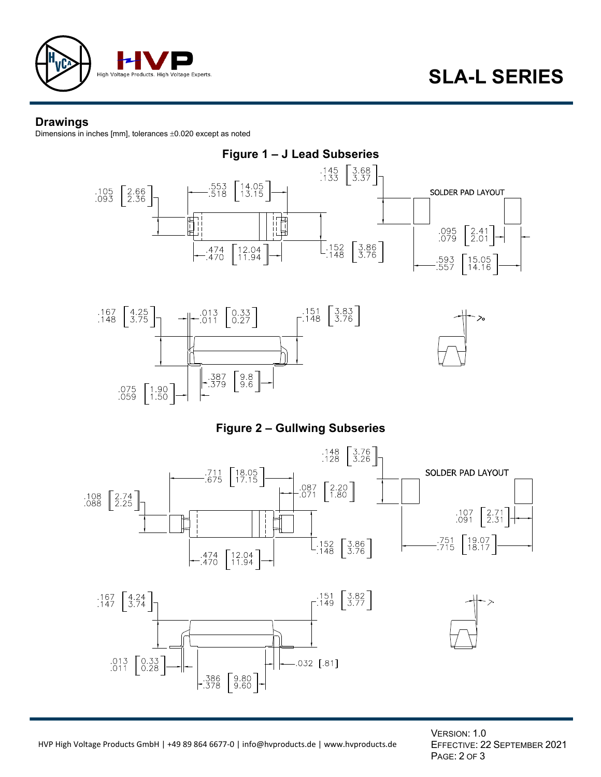

#### **Drawings**

Dimensions in inches [mm], tolerances ±0.020 except as noted



VERSION: 1.0 EFFECTIVE: 22 SEPTEMBER 2021 PAGE: 2 OF 3